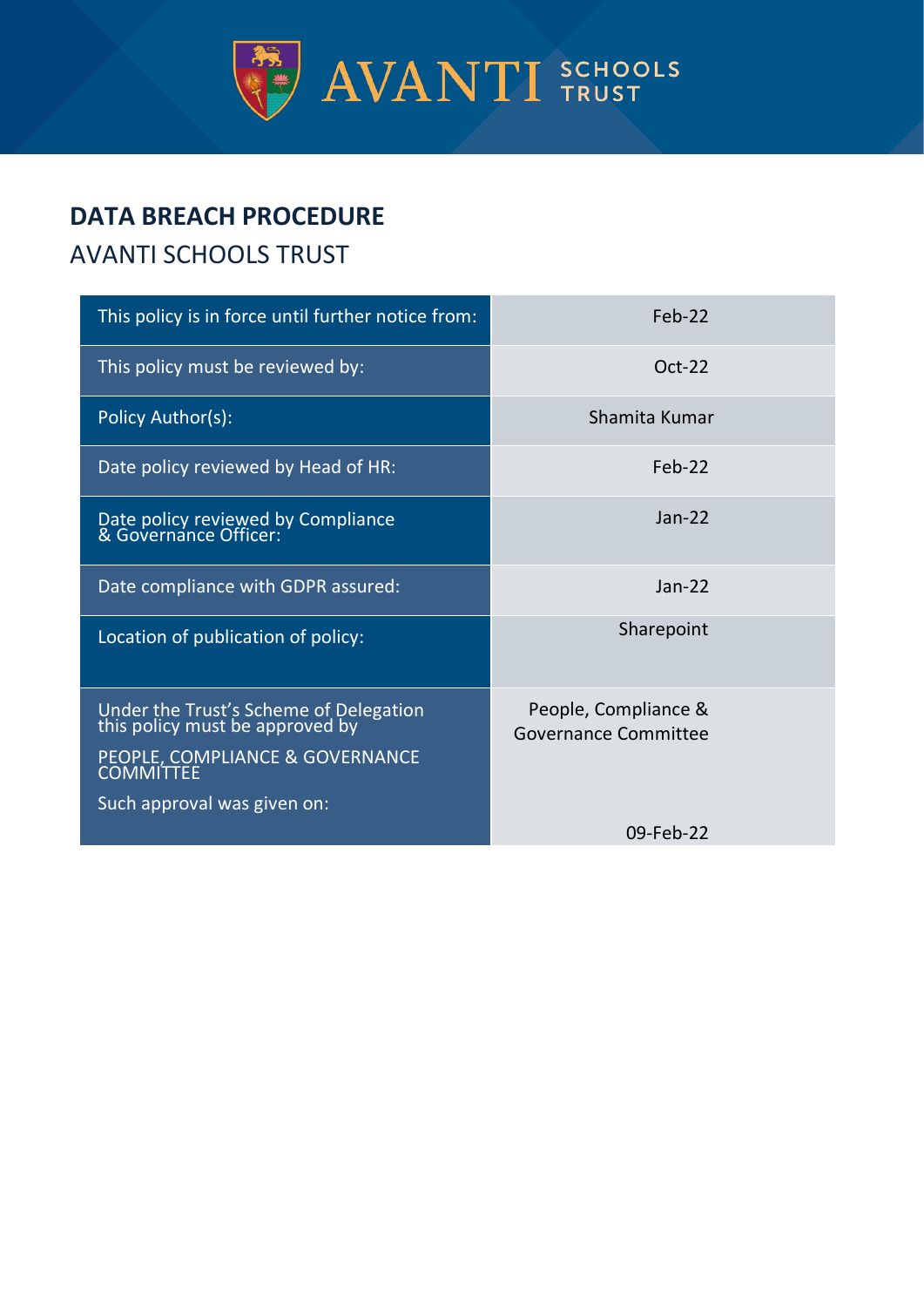

# **DATA BREACH PROCEDURE**

# AVANTI SCHOOLS TRUST

| This policy is in force until further notice from:                                                                                          | Feb-22                                              |
|---------------------------------------------------------------------------------------------------------------------------------------------|-----------------------------------------------------|
| This policy must be reviewed by:                                                                                                            | $Oct-22$                                            |
| Policy Author(s):                                                                                                                           | Shamita Kumar                                       |
| Date policy reviewed by Head of HR:                                                                                                         | $Feh-22$                                            |
| Date policy reviewed by Compliance<br>& Governance Officer:                                                                                 | $Jan-22$                                            |
| Date compliance with GDPR assured:                                                                                                          | $Jan-22$                                            |
| Location of publication of policy:                                                                                                          | Sharepoint                                          |
| Under the Trust's Scheme of Delegation<br>this policy must be approved by<br>PEOPLE, COMPLIANCE & GOVERNANCE<br>Such approval was given on: | People, Compliance &<br><b>Governance Committee</b> |
|                                                                                                                                             | 09-Feb-22                                           |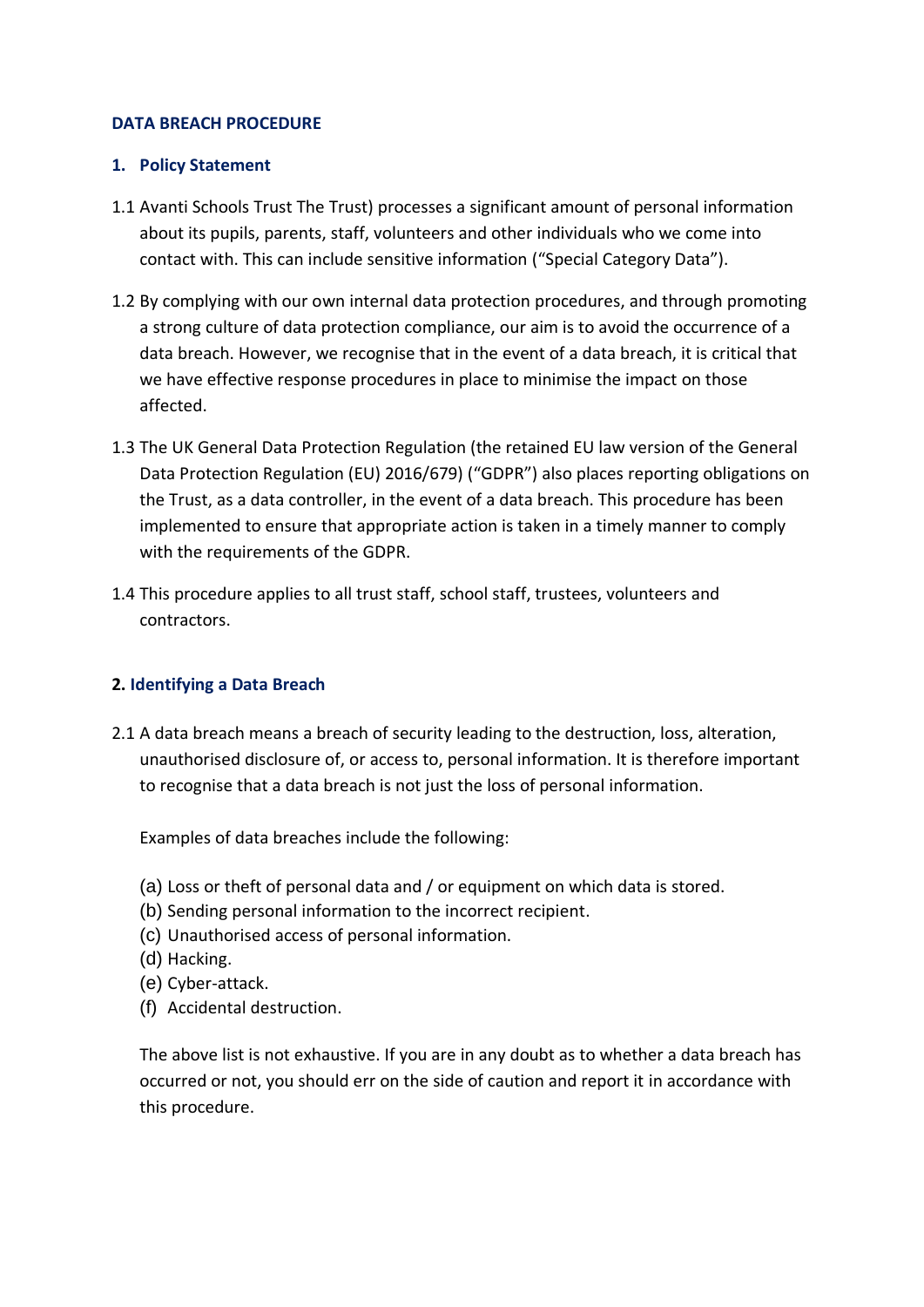## **DATA BREACH PROCEDURE**

## **1. Policy Statement**

- 1.1 Avanti Schools Trust The Trust) processes a significant amount of personal information about its pupils, parents, staff, volunteers and other individuals who we come into contact with. This can include sensitive information ("Special Category Data").
- 1.2 By complying with our own internal data protection procedures, and through promoting a strong culture of data protection compliance, our aim is to avoid the occurrence of a data breach. However, we recognise that in the event of a data breach, it is critical that we have effective response procedures in place to minimise the impact on those affected.
- 1.3 The UK General Data Protection Regulation (the retained EU law version of the General Data Protection Regulation (EU) 2016/679) ("GDPR") also places reporting obligations on the Trust, as a data controller, in the event of a data breach. This procedure has been implemented to ensure that appropriate action is taken in a timely manner to comply with the requirements of the GDPR.
- 1.4 This procedure applies to all trust staff, school staff, trustees, volunteers and contractors.

# **2. Identifying a Data Breach**

2.1 A data breach means a breach of security leading to the destruction, loss, alteration, unauthorised disclosure of, or access to, personal information. It is therefore important to recognise that a data breach is not just the loss of personal information.

Examples of data breaches include the following:

- (a) Loss or theft of personal data and / or equipment on which data is stored.
- (b) Sending personal information to the incorrect recipient.
- (c) Unauthorised access of personal information.
- (d) Hacking.
- (e) Cyber-attack.
- (f) Accidental destruction.

The above list is not exhaustive. If you are in any doubt as to whether a data breach has occurred or not, you should err on the side of caution and report it in accordance with this procedure.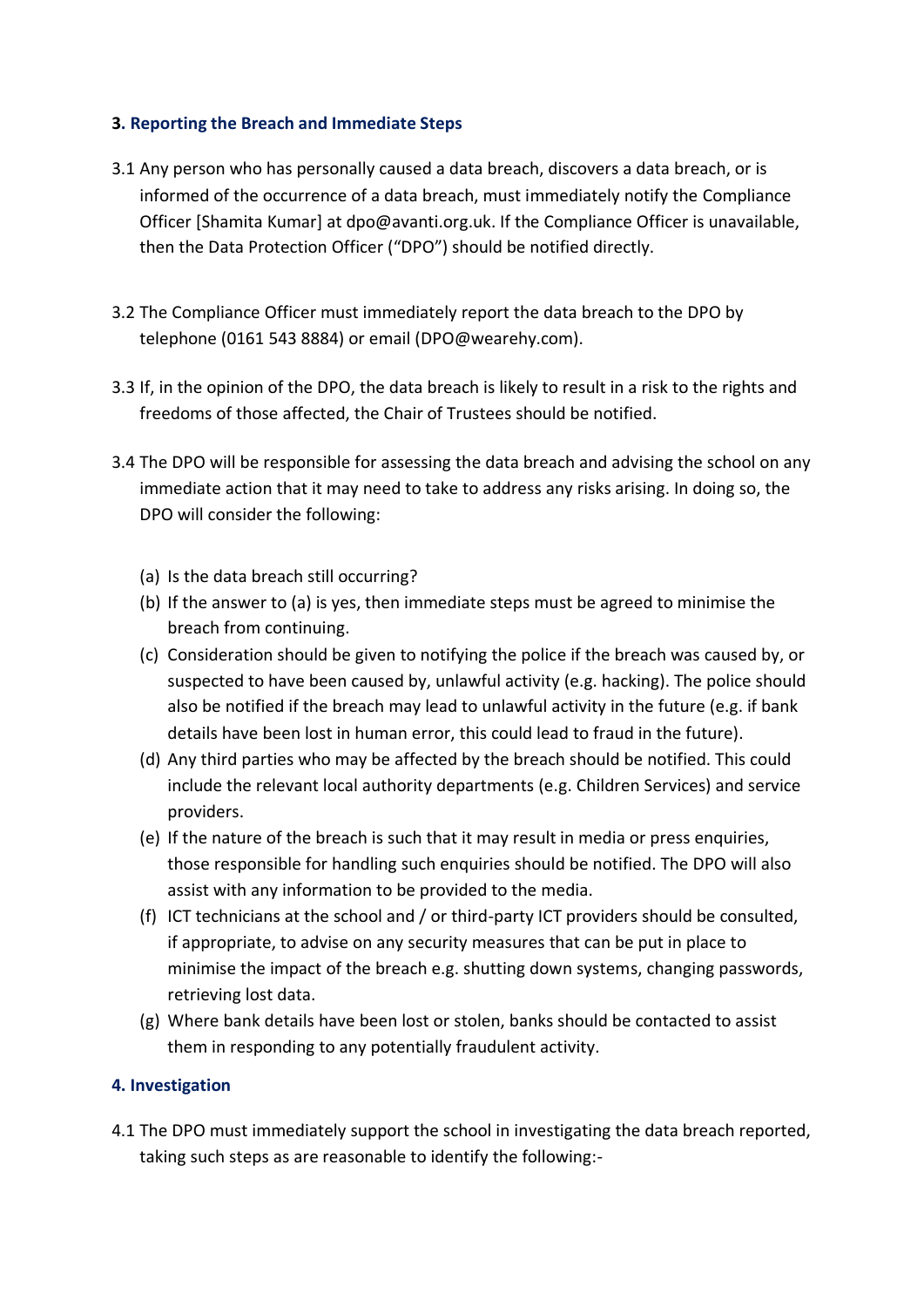# **3. Reporting the Breach and Immediate Steps**

- 3.1 Any person who has personally caused a data breach, discovers a data breach, or is informed of the occurrence of a data breach, must immediately notify the Compliance Officer [Shamita Kumar] at dpo@avanti.org.uk. If the Compliance Officer is unavailable, then the Data Protection Officer ("DPO") should be notified directly.
- 3.2 The Compliance Officer must immediately report the data breach to the DPO by telephone (0161 543 8884) or email (DPO@wearehy.com).
- <span id="page-2-0"></span>3.3 If, in the opinion of the DPO, the data breach is likely to result in a risk to the rights and freedoms of those affected, the Chair of Trustees should be notified.
- 3.4 The DPO will be responsible for assessing the data breach and advising the school on any immediate action that it may need to take to address any risks arising. In doing so, the DPO will consider the following:
	- (a) Is the data breach still occurring?
	- (b) If the answer to (a) is yes, then immediate steps must be agreed to minimise the breach from continuing.
	- (c) Consideration should be given to notifying the police if the breach was caused by, or suspected to have been caused by, unlawful activity (e.g. hacking). The police should also be notified if the breach may lead to unlawful activity in the future (e.g. if bank details have been lost in human error, this could lead to fraud in the future).
	- (d) Any third parties who may be affected by the breach should be notified. This could include the relevant local authority departments (e.g. Children Services) and service providers.
	- (e) If the nature of the breach is such that it may result in media or press enquiries, those responsible for handling such enquiries should be notified. The DPO will also assist with any information to be provided to the media.
	- (f) ICT technicians at the school and / or third-party ICT providers should be consulted, if appropriate, to advise on any security measures that can be put in place to minimise the impact of the breach e.g. shutting down systems, changing passwords, retrieving lost data.
	- (g) Where bank details have been lost or stolen, banks should be contacted to assist them in responding to any potentially fraudulent activity.

## **4. Investigation**

4.1 The DPO must immediately support the school in investigating the data breach reported, taking such steps as are reasonable to identify the following:-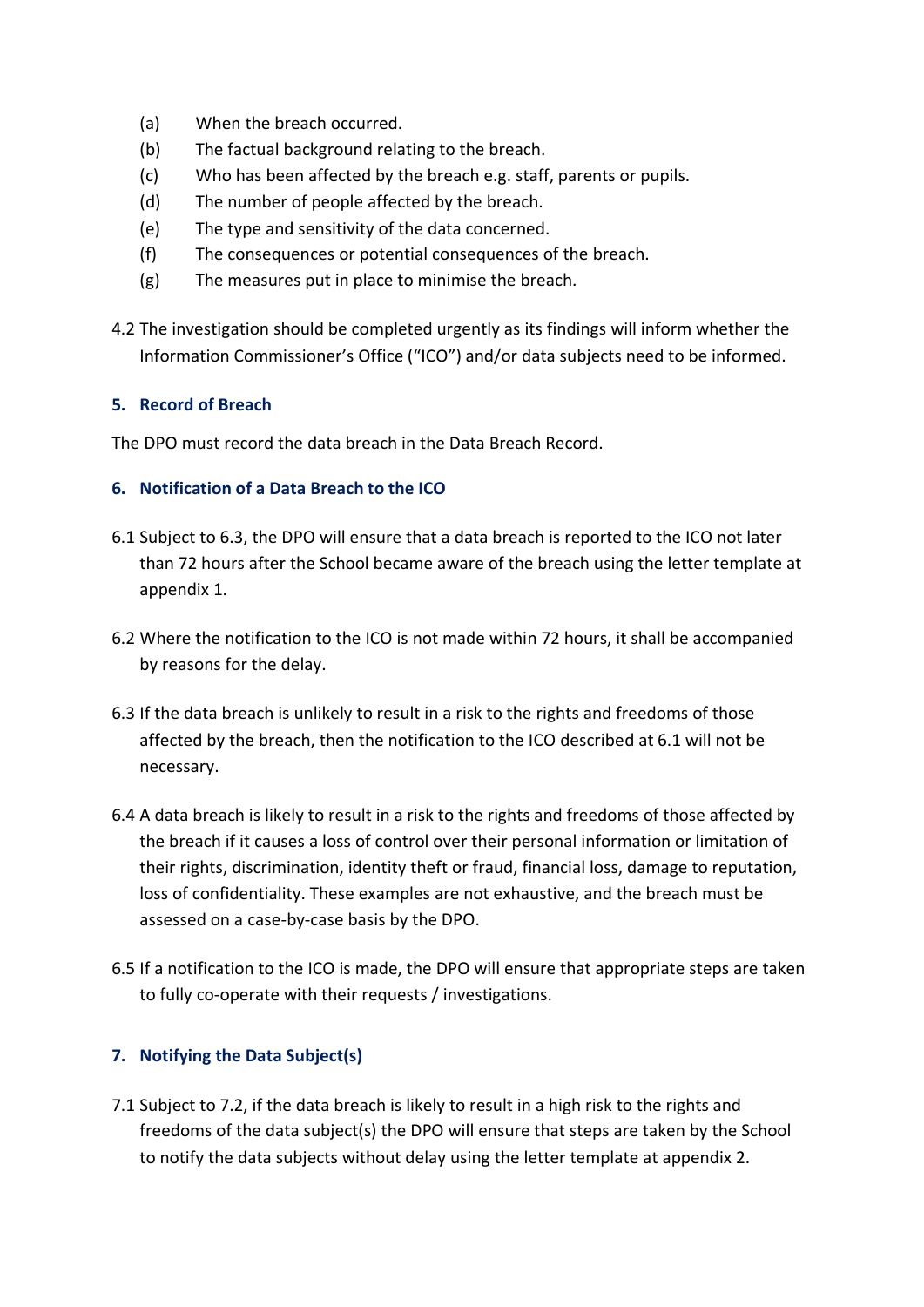- (a) When the breach occurred.
- (b) The factual background relating to the breach.
- (c) Who has been affected by the breach e.g. staff, parents or pupils.
- (d) The number of people affected by the breach.
- (e) The type and sensitivity of the data concerned.
- (f) The consequences or potential consequences of the breach.
- (g) The measures put in place to minimise the breach.
- 4.2 The investigation should be completed urgently as its findings will inform whether the Information Commissioner's Office ("ICO") and/or data subjects need to be informed.

# **5. Record of Breach**

The DPO must record the data breach in the Data Breach Record.

# **6. Notification of a Data Breach to the ICO**

- <span id="page-3-1"></span>6.1 Subject to [6.3,](#page-3-0) the DPO will ensure that a data breach is reported to the ICO not later than 72 hours after the School became aware of the breach using the letter template at appendix 1.
- 6.2 Where the notification to the ICO is not made within 72 hours, it shall be accompanied by reasons for the delay.
- <span id="page-3-0"></span>6.3 If the data breach is unlikely to result in a risk to the rights and freedoms of those affected by the breach, then the notification to the ICO described at [6.1](#page-3-1) will not be necessary.
- 6.4 A data breach is likely to result in a risk to the rights and freedoms of those affected by the breach if it causes a loss of control over their personal information or limitation of their rights, discrimination, identity theft or fraud, financial loss, damage to reputation, loss of confidentiality. These examples are not exhaustive, and the breach must be assessed on a case-by-case basis by the DPO.
- 6.5 If a notification to the ICO is made, the DPO will ensure that appropriate steps are taken to fully co-operate with their requests / investigations.

# **7. Notifying the Data Subject(s)**

7.1 Subject to [7.2,](#page-4-0) if the data breach is likely to result in a high risk to the rights and freedoms of the data subject(s) the DPO will ensure that steps are taken by the School to notify the data subjects without delay using the letter template at appendix 2.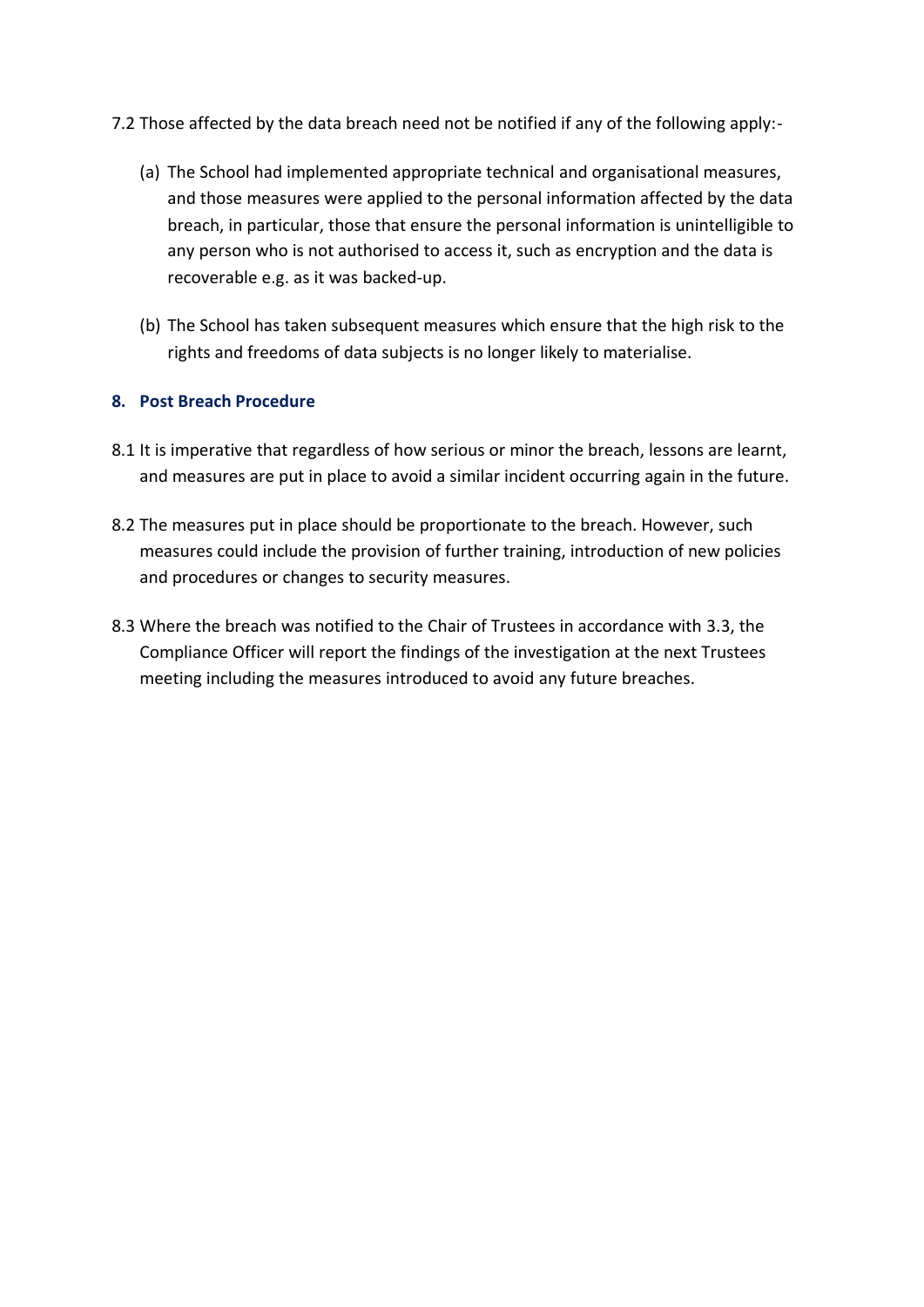- <span id="page-4-0"></span>7.2 Those affected by the data breach need not be notified if any of the following apply:-
	- (a) The School had implemented appropriate technical and organisational measures, and those measures were applied to the personal information affected by the data breach, in particular, those that ensure the personal information is unintelligible to any person who is not authorised to access it, such as encryption and the data is recoverable e.g. as it was backed-up.
	- (b) The School has taken subsequent measures which ensure that the high risk to the rights and freedoms of data subjects is no longer likely to materialise.

# **8. Post Breach Procedure**

- 8.1 It is imperative that regardless of how serious or minor the breach, lessons are learnt, and measures are put in place to avoid a similar incident occurring again in the future.
- 8.2 The measures put in place should be proportionate to the breach. However, such measures could include the provision of further training, introduction of new policies and procedures or changes to security measures.
- 8.3 Where the breach was notified to the Chair of Trustees in accordance with [3.3,](#page-2-0) the Compliance Officer will report the findings of the investigation at the next Trustees meeting including the measures introduced to avoid any future breaches.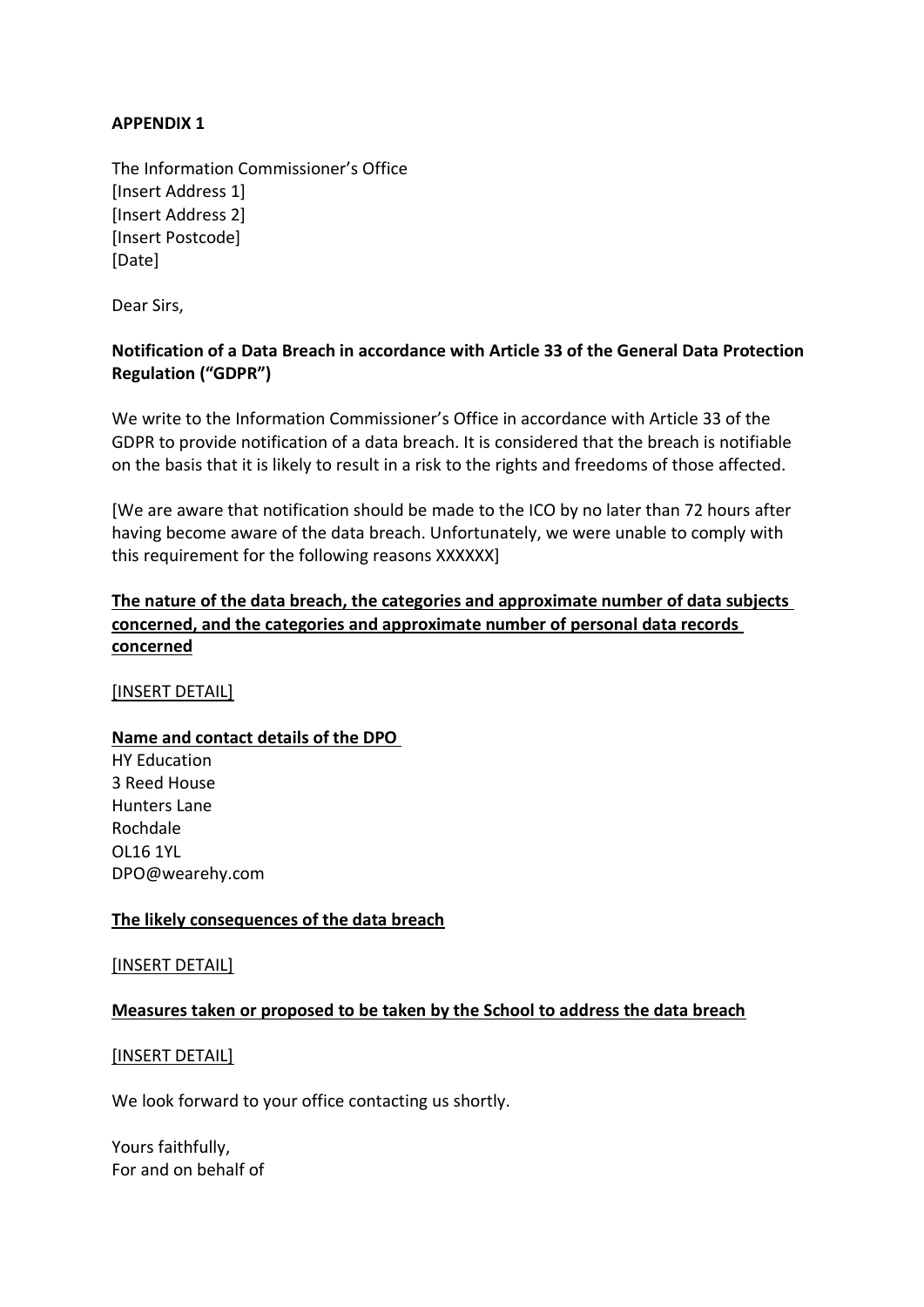# **APPENDIX 1**

The Information Commissioner's Office [Insert Address 1] [Insert Address 2] [Insert Postcode] [Date]

Dear Sirs,

## **Notification of a Data Breach in accordance with Article 33 of the General Data Protection Regulation ("GDPR")**

We write to the Information Commissioner's Office in accordance with Article 33 of the GDPR to provide notification of a data breach. It is considered that the breach is notifiable on the basis that it is likely to result in a risk to the rights and freedoms of those affected.

[We are aware that notification should be made to the ICO by no later than 72 hours after having become aware of the data breach. Unfortunately, we were unable to comply with this requirement for the following reasons XXXXXX]

# **The nature of the data breach, the categories and approximate number of data subjects concerned, and the categories and approximate number of personal data records concerned**

[INSERT DETAIL]

## **Name and contact details of the DPO**

HY Education 3 Reed House Hunters Lane Rochdale OL16 1YL DPO@wearehy.com

## **The likely consequences of the data breach**

[INSERT DETAIL]

## **Measures taken or proposed to be taken by the School to address the data breach**

#### [INSERT DETAIL]

We look forward to your office contacting us shortly.

Yours faithfully, For and on behalf of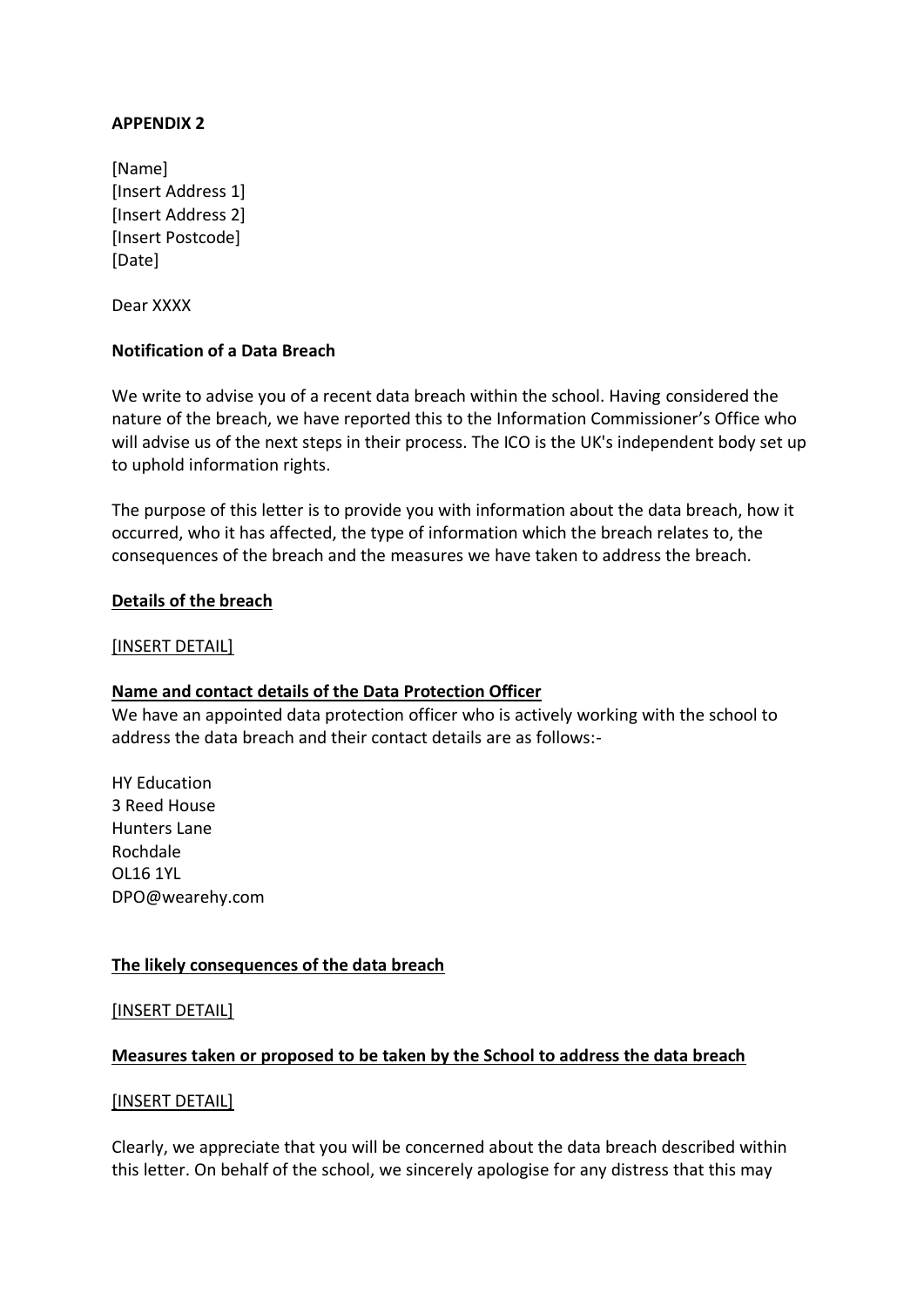## **APPENDIX 2**

[Name] [Insert Address 1] [Insert Address 2] [Insert Postcode] [Date]

Dear XXXX

## **Notification of a Data Breach**

We write to advise you of a recent data breach within the school. Having considered the nature of the breach, we have reported this to the Information Commissioner's Office who will advise us of the next steps in their process. The ICO is the UK's independent body set up to uphold information rights.

The purpose of this letter is to provide you with information about the data breach, how it occurred, who it has affected, the type of information which the breach relates to, the consequences of the breach and the measures we have taken to address the breach.

#### **Details of the breach**

#### [INSERT DETAIL]

## **Name and contact details of the Data Protection Officer**

We have an appointed data protection officer who is actively working with the school to address the data breach and their contact details are as follows:-

HY Education 3 Reed House Hunters Lane Rochdale OL16 1YL DPO@wearehy.com

## **The likely consequences of the data breach**

#### [INSERT DETAIL]

#### **Measures taken or proposed to be taken by the School to address the data breach**

#### [INSERT DETAIL]

Clearly, we appreciate that you will be concerned about the data breach described within this letter. On behalf of the school, we sincerely apologise for any distress that this may